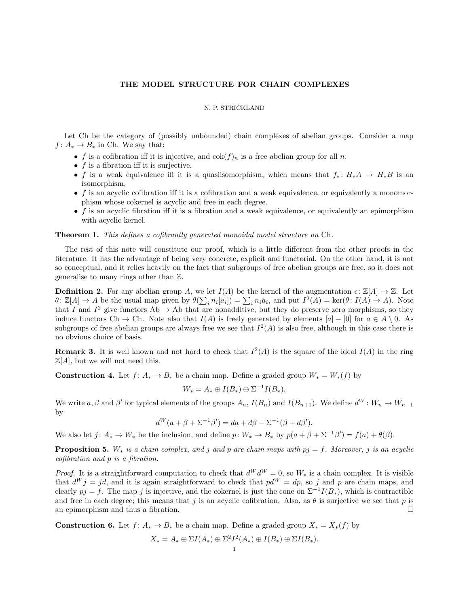## THE MODEL STRUCTURE FOR CHAIN COMPLEXES

## N. P. STRICKLAND

Let Ch be the category of (possibly unbounded) chain complexes of abelian groups. Consider a map  $f: A_* \to B_*$  in Ch. We say that:

- f is a cofibration iff it is injective, and  $\cot(f)_n$  is a free abelian group for all n.
- $f$  is a fibration iff it is surjective.
- f is a weak equivalence iff it is a quasiisomorphism, which means that  $f_* : H_*A \to H_*B$  is an isomorphism.
- $\bullet$  f is an acyclic cofibration iff it is a cofibration and a weak equivalence, or equivalently a monomorphism whose cokernel is acyclic and free in each degree.
- $\bullet$  f is an acyclic fibration iff it is a fibration and a weak equivalence, or equivalently an epimorphism with acyclic kernel.

## Theorem 1. This defines a cofibrantly generated monoidal model structure on Ch.

The rest of this note will constitute our proof, which is a little different from the other proofs in the literature. It has the advantage of being very concrete, explicit and functorial. On the other hand, it is not so conceptual, and it relies heavily on the fact that subgroups of free abelian groups are free, so it does not generalise to many rings other than Z.

**Definition 2.** For any abelian group A, we let  $I(A)$  be the kernel of the augmentation  $\epsilon \colon \mathbb{Z}[A] \to \mathbb{Z}$ . Let  $\theta: \mathbb{Z}[A] \to A$  be the usual map given by  $\theta(\sum_i n_i [a_i]) = \sum_i n_i a_i$ , and put  $I^2(A) = \ker(\theta: I(A) \to A)$ . Note that I and  $I^2$  give functors Ab  $\rightarrow$  Ab that are nonadditive, but they do preserve zero morphisms, so they induce functors Ch  $\rightarrow$  Ch. Note also that  $I(A)$  is freely generated by elements  $[a] - [0]$  for  $a \in A \setminus 0$ . As subgroups of free abelian groups are always free we see that  $I^2(A)$  is also free, although in this case there is no obvious choice of basis.

**Remark 3.** It is well known and not hard to check that  $I^2(A)$  is the square of the ideal  $I(A)$  in the ring  $\mathbb{Z}[A]$ , but we will not need this.

<span id="page-0-0"></span>**Construction 4.** Let  $f: A_* \to B_*$  be a chain map. Define a graded group  $W_* = W_*(f)$  by

$$
W_* = A_* \oplus I(B_*) \oplus \Sigma^{-1}I(B_*).
$$

We write  $a, \beta$  and  $\beta'$  for typical elements of the groups  $A_n$ ,  $I(B_n)$  and  $I(B_{n+1})$ . We define  $d^W: W_n \to W_{n-1}$ by

$$
d^{W}(a + \beta + \Sigma^{-1}\beta') = da + d\beta - \Sigma^{-1}(\beta + d\beta').
$$

We also let  $j: A_* \to W_*$  be the inclusion, and define  $p: W_* \to B_*$  by  $p(a+\beta+\Sigma^{-1}\beta') = f(a)+\theta(\beta)$ .

**Proposition 5.** W<sub>\*</sub> is a chain complex, and j and p are chain maps with  $pj = f$ . Moreover, j is an acyclic cofibration and p is a fibration.

*Proof.* It is a straightforward computation to check that  $d^W d^W = 0$ , so  $W_*$  is a chain complex. It is visible that  $d^W j = jd$ , and it is again straightforward to check that  $pd^W = dp$ , so j and p are chain maps, and clearly  $pj = f$ . The map j is injective, and the cokernel is just the cone on  $\Sigma^{-1}I(B_*)$ , which is contractible and free in each degree; this means that j is an acyclic cofibration. Also, as  $\theta$  is surjective we see that p is an epimorphism and thus a fibration.  $\Box$ 

<span id="page-0-1"></span>**Construction 6.** Let  $f: A_* \to B_*$  be a chain map. Define a graded group  $X_* = X_*(f)$  by

$$
X_* = A_* \oplus \Sigma I(A_*) \oplus \Sigma^2 I^2(A_*) \oplus I(B_*) \oplus \Sigma I(B_*).
$$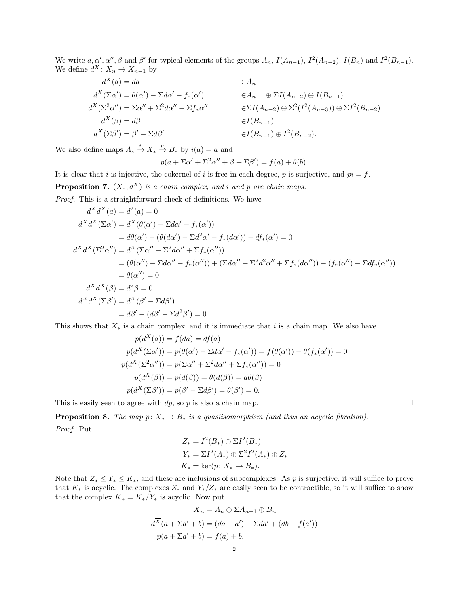We write  $a, \alpha', \alpha'', \beta$  and  $\beta'$  for typical elements of the groups  $A_n$ ,  $I(A_{n-1})$ ,  $I^2(A_{n-2})$ ,  $I(B_n)$  and  $I^2(B_{n-1})$ . We define  $d^X: X_n \to X_{n-1}$  by

$$
d^{X}(a) = da \qquad \in A_{n-1}
$$
  
\n
$$
d^{X}(\Sigma \alpha') = \theta(\alpha') - \Sigma d\alpha' - f_{*}(\alpha') \qquad \in A_{n-1} \oplus \Sigma I(A_{n-2}) \oplus I(B_{n-1})
$$
  
\n
$$
d^{X}(\Sigma^{2} \alpha'') = \Sigma \alpha'' + \Sigma^{2} d\alpha'' + \Sigma f_{*} \alpha'' \qquad \in \Sigma I(A_{n-2}) \oplus \Sigma^{2} (I^{2}(A_{n-3})) \oplus \Sigma I^{2}(B_{n-2})
$$
  
\n
$$
d^{X}(\beta) = d\beta \qquad \in I(B_{n-1})
$$
  
\n
$$
d^{X}(\Sigma \beta') = \beta' - \Sigma d\beta' \qquad \in I(B_{n-1}) \oplus I^{2}(B_{n-2}).
$$

We also define maps  $A_* \xrightarrow{i} X_* \xrightarrow{p} B_*$  by  $i(a) = a$  and

$$
p(a + \Sigma \alpha' + \Sigma^2 \alpha'' + \beta + \Sigma \beta') = f(a) + \theta(b).
$$

It is clear that i is injective, the cokernel of i is free in each degree, p is surjective, and  $pi = f$ . **Proposition 7.**  $(X_*, d^X)$  is a chain complex, and i and p are chain maps. Proof. This is a straightforward check of definitions. We have

$$
d^{X} d^{X}(a) = d^{2}(a) = 0
$$
  
\n
$$
d^{X} d^{X}(\Sigma \alpha') = d^{X}(\theta(\alpha') - \Sigma d\alpha' - f_{*}(\alpha'))
$$
  
\n
$$
= d\theta(\alpha') - (\theta(d\alpha') - \Sigma d^{2}\alpha' - f_{*}(d\alpha')) - df_{*}(\alpha') = 0
$$
  
\n
$$
d^{X} d^{X}(\Sigma^{2} \alpha'') = d^{X}(\Sigma \alpha'' + \Sigma^{2} d\alpha'' + \Sigma f_{*}(\alpha''))
$$
  
\n
$$
= (\theta(\alpha'') - \Sigma d\alpha'' - f_{*}(\alpha'')) + (\Sigma d\alpha'' + \Sigma^{2} d^{2}\alpha'' + \Sigma f_{*}(d\alpha'')) + (f_{*}(\alpha'') - \Sigma df_{*}(\alpha''))
$$
  
\n
$$
= \theta(\alpha'') = 0
$$
  
\n
$$
d^{X} d^{X}(\beta) = d^{2}\beta = 0
$$
  
\n
$$
d^{X} d^{X}(\Sigma \beta') = d^{X}(\beta' - \Sigma d\beta')
$$
  
\n
$$
= d\beta' - (d\beta' - \Sigma d^{2}\beta') = 0.
$$

This shows that  $X_*$  is a chain complex, and it is immediate that i is a chain map. We also have

$$
p(d^X(a)) = f(da) = df(a)
$$
  
\n
$$
p(d^X(\Sigma \alpha')) = p(\theta(\alpha') - \Sigma d\alpha' - f_*(\alpha')) = f(\theta(\alpha')) - \theta(f_*(\alpha')) = 0
$$
  
\n
$$
p(d^X(\Sigma^2 \alpha'')) = p(\Sigma \alpha'' + \Sigma^2 d\alpha'' + \Sigma f_*(\alpha'')) = 0
$$
  
\n
$$
p(d^X(\beta)) = p(d(\beta)) = \theta(d(\beta)) = d\theta(\beta)
$$
  
\n
$$
p(d^X(\Sigma \beta')) = p(\beta' - \Sigma d\beta') = \theta(\beta') = 0.
$$

This is easily seen to agree with dp, so p is also a chain map.  $\square$ 

**Proposition 8.** The map  $p: X_* \to B_*$  is a quasiisomorphism (and thus an acyclic fibration). Proof. Put

$$
Z_* = I^2(B_*) \oplus \Sigma I^2(B_*)
$$
  
\n
$$
Y_* = \Sigma I^2(A_*) \oplus \Sigma^2 I^2(A_*) \oplus Z_*
$$
  
\n
$$
K_* = \ker(p: X_* \to B_*).
$$

Note that  $Z_* \leq Y_* \leq K_*$ , and these are inclusions of subcomplexes. As p is surjective, it will suffice to prove that  $K_*$  is acyclic. The complexes  $Z_*$  and  $Y_*/Z_*$  are easily seen to be contractible, so it will suffice to show that the complex  $\overline{K}_* = K_*/Y_*$  is acyclic. Now put

$$
\overline{X}_n = A_n \oplus \Sigma A_{n-1} \oplus B_n
$$

$$
d^{\overline{X}}(a + \Sigma a' + b) = (da + a') - \Sigma da' + (db - f(a'))
$$

$$
\overline{p}(a + \Sigma a' + b) = f(a) + b.
$$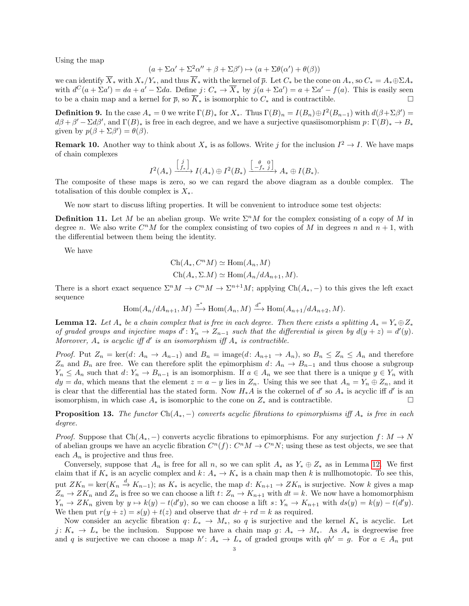Using the map

$$
(a + \Sigma \alpha' + \Sigma^2 \alpha'' + \beta + \Sigma \beta') \mapsto (a + \Sigma \theta(\alpha') + \theta(\beta))
$$

we can identify  $\overline{X}_*$  with  $X_*/Y_*$ , and thus  $\overline{K}_*$  with the kernel of  $\overline{p}$ . Let  $C_*$  be the cone on  $A_*,$  so  $C_* = A_* \oplus \Sigma A_*$ with  $d^C(a + \Sigma a') = da + a' - \Sigma da$ . Define  $j: C_* \to \overline{X}_*$  by  $j(a + \Sigma a') = a + \Sigma a' - f(a)$ . This is easily seen to be a chain map and a kernel for  $\bar{p}$ , so  $\overline{K}_*$  is isomorphic to  $C_*$  and is contractible.

**Definition 9.** In the case  $A_* = 0$  we write  $\Gamma(B)_*$  for  $X_*$ . Thus  $\Gamma(B)_n = I(B_n) \oplus I^2(B_{n-1})$  with  $d(\beta + \Sigma \beta') =$  $d\beta + \beta' - \Sigma d\beta'$ , and  $\Gamma(B)_*$  is free in each degree, and we have a surjective quasiisomorphism  $p: \Gamma(B)_* \to B_*$ given by  $p(\beta + \Sigma \beta') = \theta(\beta)$ .

**Remark 10.** Another way to think about  $X_*$  is as follows. Write j for the inclusion  $I^2 \to I$ . We have maps of chain complexes

$$
I^2(A_*) \xrightarrow{\begin{bmatrix} j \\ f_* \end{bmatrix}} I(A_*) \oplus I^2(B_*) \xrightarrow{\begin{bmatrix} \theta & 0 \\ -f_* & j \end{bmatrix}} A_* \oplus I(B_*)
$$
.

The composite of these maps is zero, so we can regard the above diagram as a double complex. The totalisation of this double complex is  $X_*$ .

We now start to discuss lifting properties. It will be convenient to introduce some test objects:

**Definition 11.** Let M be an abelian group. We write  $\Sigma^n M$  for the complex consisting of a copy of M in degree n. We also write  $C^nM$  for the complex consisting of two copies of M in degrees n and  $n+1$ , with the differential between them being the identity.

We have

$$
Ch(A_*, C^n M) \simeq Hom(A_n, M)
$$
  

$$
Ch(A_*, \Sigma.M) \simeq Hom(A_n/dA_{n+1}, M).
$$

There is a short exact sequence  $\Sigma^n M \to C^n M \to \Sigma^{n+1} M$ ; applying  $Ch(A_*,-)$  to this gives the left exact sequence

$$
\operatorname{Hom}(A_n/dA_{n+1}, M) \xrightarrow{\pi^*} \operatorname{Hom}(A_n, M) \xrightarrow{d^*} \operatorname{Hom}(A_{n+1}/dA_{n+2}, M).
$$

<span id="page-2-0"></span>**Lemma 12.** Let  $A_*$  be a chain complex that is free in each degree. Then there exists a splitting  $A_* = Y_* \oplus Z_*$ of graded groups and injective maps  $d': Y_n \to Z_{n-1}$  such that the differential is given by  $d(y + z) = d'(y)$ . Moreover,  $A_*$  is acyclic iff d' is an isomorphism iff  $A_*$  is contractible.

*Proof.* Put  $Z_n = \text{ker}(d: A_n \to A_{n-1})$  and  $B_n = \text{image}(d: A_{n+1} \to A_n)$ , so  $B_n \le Z_n \le A_n$  and therefore  $Z_n$  and  $B_n$  are free. We can therefore split the epimorphism  $d: A_n \to B_{n-1}$  and thus choose a subgroup  $Y_n \leq A_n$  such that  $d: Y_n \to B_{n-1}$  is an isomorphism. If  $a \in A_n$  we see that there is a unique  $y \in Y_n$  with  $dy = da$ , which means that the element  $z = a - y$  lies in  $Z_n$ . Using this we see that  $A_n = Y_n \oplus Z_n$ , and it is clear that the differential has the stated form. Now  $H_*A$  is the cokernel of d'so  $A_*$  is acyclic iff d' is an isomorphism, in which case  $A_*$  is isomorphic to the cone on  $Z_*$  and is contractible.

<span id="page-2-1"></span>**Proposition 13.** The functor Ch( $A_*$ , −) converts acyclic fibrations to epimorphisms iff  $A_*$  is free in each degree.

*Proof.* Suppose that  $Ch(A_*)$  converts acyclic fibrations to epimorphisms. For any surjection  $f: M \to N$ of abelian groups we have an acyclic fibration  $C^n(f)$ :  $C^nM \to C^nN$ ; using these as test objects, we see that each  $A_n$  is projective and thus free.

Conversely, suppose that  $A_n$  is free for all n, so we can split  $A_*$  as  $Y_* \oplus Z_*$  as in Lemma [12.](#page-2-0) We first claim that if  $K_*$  is an acyclic complex and  $k: A_* \to K_*$  is a chain map then k is nullhomotopic. To see this, put  $ZK_n = \text{ker}(K_n \stackrel{d}{\to} K_{n-1})$ ; as  $K_*$  is acyclic, the map  $d: K_{n+1} \to ZK_n$  is surjective. Now k gives a map  $Z_n \to ZK_n$  and  $Z_n$  is free so we can choose a lift  $t: Z_n \to K_{n+1}$  with  $dt = k$ . We now have a homomorphism  $Y_n \to ZK_n$  given by  $y \to k(y) - t(d'y)$ , so we can choose a lift  $s: Y_n \to K_{n+1}$  with  $ds(y) = k(y) - t(d'y)$ . We then put  $r(y + z) = s(y) + t(z)$  and observe that  $dr + rd = k$  as required.

Now consider an acyclic fibration  $q: L_* \to M_*$ , so q is surjective and the kernel  $K_*$  is acyclic. Let  $j: K_* \to L_*$  be the inclusion. Suppose we have a chain map  $g: A_* \to M_*$ . As  $A_*$  is degreewise free and q is surjective we can choose a map  $h' : A_* \to L_*$  of graded groups with  $qh' = g$ . For  $a \in A_n$  put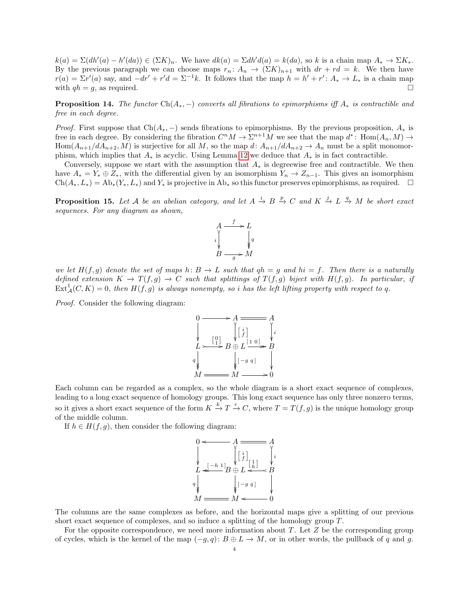$k(a) = \Sigma(dh'(a) - h'(da)) \in (\Sigma K)_n$ . We have  $dk(a) = \Sigma dh'd(a) = k(da)$ , so k is a chain map  $A_* \to \Sigma K_*$ . By the previous paragraph we can choose maps  $r_n: A_n \to (\Sigma K)_{n+1}$  with  $dr + rd = k$ . We then have  $r(a) = \Sigma r'(a)$  say, and  $-dr' + r'd = \Sigma^{-1}k$ . It follows that the map  $h = h' + r' : A_* \to L_*$  is a chain map with  $q h = g$ , as required.

<span id="page-3-1"></span>**Proposition 14.** The functor  $Ch(A_*)$  converts all fibrations to epimorphisms iff  $A_*$  is contractible and free in each degree.

*Proof.* First suppose that  $Ch(A_*)$  sends fibrations to epimorphisms. By the previous proposition,  $A_*$  is free in each degree. By considering the fibration  $C^nM \to \Sigma^{n+1}M$  we see that the map  $d^*$ : Hom $(A_n, M) \to$  $\text{Hom}(A_{n+1}/dA_{n+2}, M)$  is surjective for all M, so the map d:  $A_{n+1}/dA_{n+2} \to A_n$  must be a split monomorphism, which implies that  $A_*$  is acyclic. Using Lemma [12](#page-2-0) we deduce that  $A_*$  is in fact contractible.

Conversely, suppose we start with the assumption that  $A_*$  is degreewise free and contractible. We then have  $A_* = Y_* \oplus Z_*$ , with the differential given by an isomorphism  $Y_n \to Z_{n-1}$ . This gives an isomorphism  $Ch(A_*, L_*) = Ab_*(Y_*, L_*)$  and  $Y_*$  is projective in  $Ab_*$  so this functor preserves epimorphisms, as required.  $\Box$ 

<span id="page-3-0"></span>**Proposition 15.** Let A be an abelian category, and let  $A \stackrel{i}{\to} B \stackrel{p}{\to} C$  and  $K \stackrel{j}{\to} L \stackrel{q}{\to} M$  be short exact sequences. For any diagram as shown,



we let  $H(f,g)$  denote the set of maps h:  $B \to L$  such that  $qh = g$  and  $hi = f$ . Then there is a naturally defined extension  $K \to T(f,g) \to C$  such that splittings of  $T(f,g)$  biject with  $H(f,g)$ . In particular, if  $\text{Ext}_{\mathcal{A}}^1(C, K) = 0$ , then  $H(f, g)$  is always nonempty, so i has the left lifting property with respect to q.

Proof. Consider the following diagram:



Each column can be regarded as a complex, so the whole diagram is a short exact sequence of complexes, leading to a long exact sequence of homology groups. This long exact sequence has only three nonzero terms, so it gives a short exact sequence of the form  $K \stackrel{k}{\to} T \stackrel{r}{\to} C$ , where  $T = T(f, g)$  is the unique homology group of the middle column.

If  $h \in H(f, g)$ , then consider the following diagram:



The columns are the same complexes as before, and the horizontal maps give a splitting of our previous short exact sequence of complexes, and so induce a splitting of the homology group T.

For the opposite correspondence, we need more information about  $T$ . Let  $Z$  be the corresponding group of cycles, which is the kernel of the map  $(-g, q): B \oplus L \to M$ , or in other words, the pullback of q and g.